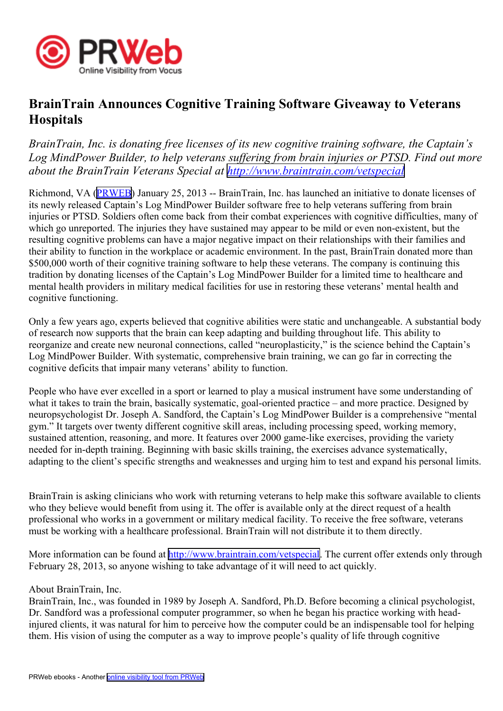

## **BrainTrain Announces Cognitive Training Software Giveaway to Veterans Hospitals**

*BrainTrain, Inc. is donating free licenses of its new cognitive training software, the Captain's Log MindPower Builder, to help veterans suffering from brain injuries or PTSD. Find out more about the BrainTrain Veterans Special at <http://www.braintrain.com/vetspecial>*

Richmond, VA [\(PRWEB\)](http://www.prweb.com) January 25, 2013 -- BrainTrain, Inc. has launched an initiative to donate licenses of its newly released Captain's Log MindPower Builder software free to help veterans suffering from brain injuries or PTSD. Soldiers often come back from their combat experiences with cognitive difficulties, many of which go unreported. The injuries they have sustained may appear to be mild or even non-existent, but the resulting cognitive problems can have <sup>a</sup> major negative impact on their relationships with their families and their ability to function in the workplace or academic environment. In the past, BrainTrain donated more than \$500,000 worth of their cognitive training software to help these veterans. The company is continuing this tradition by donating licenses of the Captain's Log MindPower Builder for <sup>a</sup> limited time to healthcare and mental health providers in military medical facilities for use in restoring these veterans' mental health and cognitive functioning.

Only a few years ago, experts believed that cognitive abilities were static and unchangeable. A substantial body of research now supports that the brain can keep adapting and building throughout life. This ability to reorganize and create new neuronal connections, called "neuroplasticity," is the science behind the Captain's Log MindPower Builder. With systematic, comprehensive brain training, we can go far in correcting the cognitive deficits that impair many veterans' ability to function.

People who have ever excelled in <sup>a</sup> spor<sup>t</sup> or learned to play <sup>a</sup> musical instrument have some understanding of what it takes to train the brain, basically systematic, goal-oriented practice – and more practice. Designed by neuropsychologist Dr. Joseph A. Sandford, the Captain's Log MindPower Builder is <sup>a</sup> comprehensive "mental gym." It targets over twenty different cognitive skill areas, including processing speed, working memory, sustained attention, reasoning, and more. It features over 2000 game-like exercises, providing the variety needed for in-depth training. Beginning with basic skills training, the exercises advance systematically, adapting to the client's specific strengths and weaknesses and urging him to test and expand his personal limits.

BrainTrain is asking clinicians who work with returning veterans to help make this software available to clients who they believe would benefit from using it. The offer is available only at the direct reques<sup>t</sup> of <sup>a</sup> health professional who works in <sup>a</sup> governmen<sup>t</sup> or military medical facility. To receive the free software, veterans must be working with <sup>a</sup> healthcare professional. BrainTrain will not distribute it to them directly.

More information can be found at <http://www.braintrain.com/vetspecial>. The current offer extends only through February 28, 2013, so anyone wishing to take advantage of it will need to act quickly.

## About BrainTrain, Inc.

BrainTrain, Inc., was founded in 1989 by Joseph A. Sandford, Ph.D. Before becoming <sup>a</sup> clinical psychologist, Dr. Sandford was <sup>a</sup> professional computer programmer, so when he began his practice working with headinjured clients, it was natural for him to perceive how the computer could be an indispensable tool for helping them. His vision of using the computer as <sup>a</sup> way to improve people's quality of life through cognitive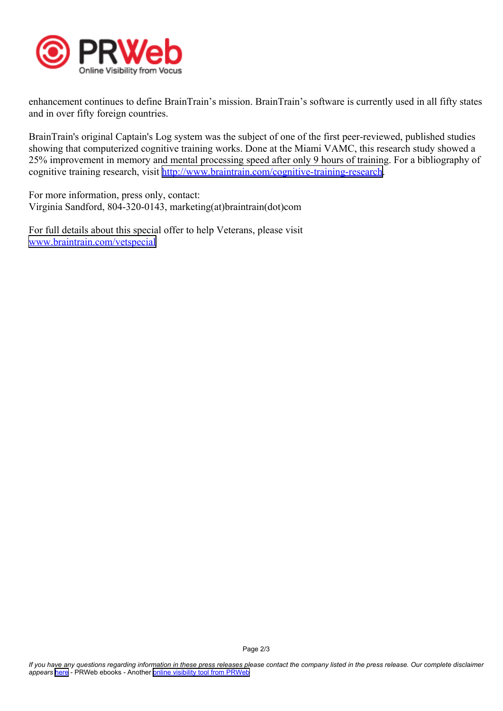

enhancement continues to define BrainTrain's mission. BrainTrain's software is currently used in all fifty states and in over fifty foreign countries.

BrainTrain's original Captain's Log system was the subject of one of the first peer-reviewed, published studies showing that computerized cognitive training works. Done at the Miami VAMC, this research study showed <sup>a</sup> 25% improvement in memory and mental processing speed after only 9 hours of training. For <sup>a</sup> bibliography of cognitive training research, visit <http://www.braintrain.com/cognitive-training-research>.

For more information, press only, contact: Virginia Sandford, 804-320-0143, marketing(at)braintrain(dot)com

For full details about this special offer to help Veterans, please visit [www.braintrain.com/vetspecial](http://www.braintrain.com/vetspecial)